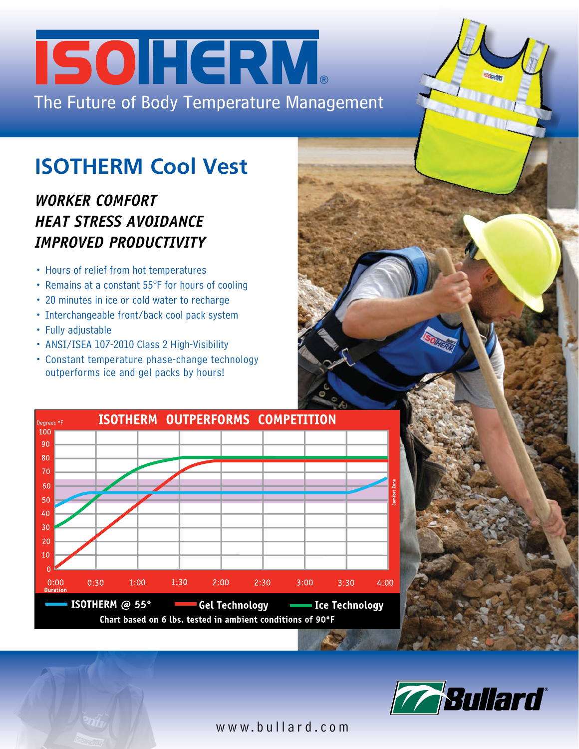# The Future of Body Temperature Management **SOHERM**

## **ISOTHERM Cool Vest**

### *WORKER COMFORT HEAT STRESS AVOIDANCE IMPROVED PRODUCTIVITY*

- Hours of relief from hot temperatures
- Remains at a constant 55°F for hours of cooling
- 20 minutes in ice or cold water to recharge
- Interchangeable front/back cool pack system
- Fully adjustable
- ANSI/ISEA 107-2010 Class 2 High-Visibility
- Constant temperature phase-change technology outperforms ice and gel packs by hours!





www.bullard.com